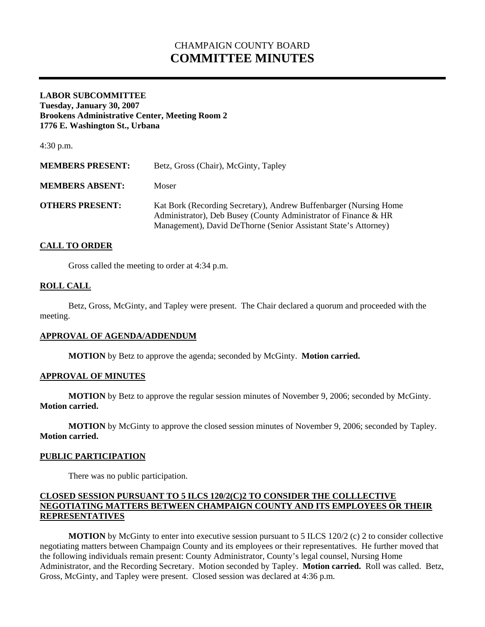# CHAMPAIGN COUNTY BOARD **COMMITTEE MINUTES**

## **LABOR SUBCOMMITTEE Tuesday, January 30, 2007 Brookens Administrative Center, Meeting Room 2 1776 E. Washington St., Urbana**

4:30 p.m.

| <b>MEMBERS PRESENT:</b> | Betz, Gross (Chair), McGinty, Tapley                                                                                                                                                                    |
|-------------------------|---------------------------------------------------------------------------------------------------------------------------------------------------------------------------------------------------------|
| <b>MEMBERS ABSENT:</b>  | Moser                                                                                                                                                                                                   |
| <b>OTHERS PRESENT:</b>  | Kat Bork (Recording Secretary), Andrew Buffenbarger (Nursing Home<br>Administrator), Deb Busey (County Administrator of Finance & HR<br>Management), David DeThorne (Senior Assistant State's Attorney) |

# **CALL TO ORDER**

Gross called the meeting to order at 4:34 p.m.

## **ROLL CALL**

 Betz, Gross, McGinty, and Tapley were present. The Chair declared a quorum and proceeded with the meeting.

#### **APPROVAL OF AGENDA/ADDENDUM**

 **MOTION** by Betz to approve the agenda; seconded by McGinty. **Motion carried.** 

#### **APPROVAL OF MINUTES**

**MOTION** by Betz to approve the regular session minutes of November 9, 2006; seconded by McGinty. **Motion carried.** 

**MOTION** by McGinty to approve the closed session minutes of November 9, 2006; seconded by Tapley. **Motion carried.** 

#### **PUBLIC PARTICIPATION**

There was no public participation.

## **CLOSED SESSION PURSUANT TO 5 ILCS 120/2(C)2 TO CONSIDER THE COLLLECTIVE NEGOTIATING MATTERS BETWEEN CHAMPAIGN COUNTY AND ITS EMPLOYEES OR THEIR REPRESENTATIVES**

**MOTION** by McGinty to enter into executive session pursuant to 5 ILCS 120/2 (c) 2 to consider collective negotiating matters between Champaign County and its employees or their representatives. He further moved that the following individuals remain present: County Administrator, County's legal counsel, Nursing Home Administrator, and the Recording Secretary. Motion seconded by Tapley. **Motion carried.** Roll was called. Betz, Gross, McGinty, and Tapley were present. Closed session was declared at 4:36 p.m.